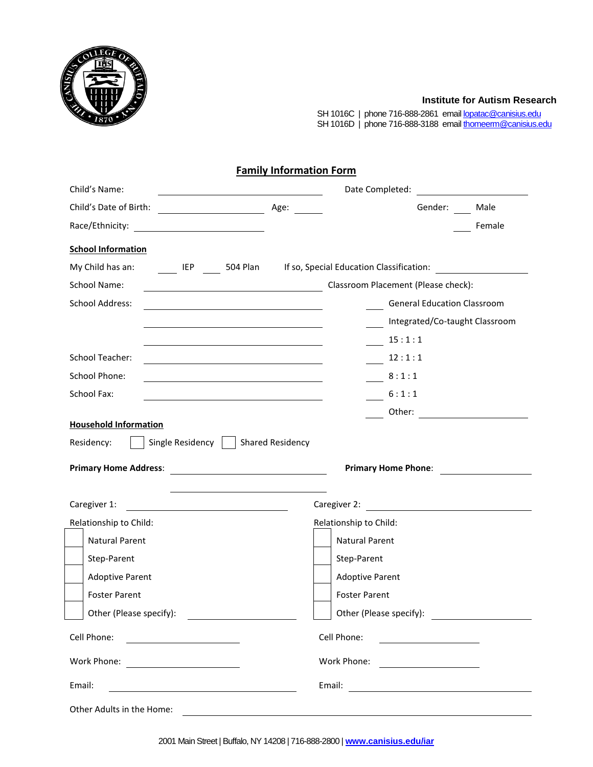

## **Institute for Autism Research**

SH 1016C | phone 716-888-2861 emai[l lopatac@canisius.edu](mailto:lopatac@canisius.edu) SH 1016D | phone 716-888-3188 emai[l thomeerm@canisius.edu](mailto:thomeerm@canisius.edu)

|  |  | <b>Family Information Form</b> |  |
|--|--|--------------------------------|--|
|--|--|--------------------------------|--|

| Child's Name:<br><u> 1989 - Johann Barnett, fransk politik (</u>                                                                                |                                                                                                                                 |
|-------------------------------------------------------------------------------------------------------------------------------------------------|---------------------------------------------------------------------------------------------------------------------------------|
|                                                                                                                                                 | Gender: Male                                                                                                                    |
|                                                                                                                                                 | Female                                                                                                                          |
| <b>School Information</b>                                                                                                                       |                                                                                                                                 |
|                                                                                                                                                 | My Child has an: IEP 504 Plan If so, Special Education Classification:                                                          |
| School Name:                                                                                                                                    | Classroom Placement (Please check):                                                                                             |
| <b>School Address:</b><br><u> 1980 - Johann Barbara, martxa alemaniar amerikan a</u>                                                            | <b>General Education Classroom</b>                                                                                              |
|                                                                                                                                                 | Integrated/Co-taught Classroom                                                                                                  |
|                                                                                                                                                 | 15:1:1                                                                                                                          |
| <b>School Teacher:</b><br><u> 1989 - Johann Barn, mars ann an Cathair ann an t-Aonaichte ann an t-Aonaichte ann an t-Aonaichte ann an t-Aon</u> | 12:1:1                                                                                                                          |
| School Phone:<br><u> 1989 - Johann Barbara, martin amerikan basar dan berasal dalam basa dalam basa dalam basa dalam basa dalam b</u>           | 8:1:1                                                                                                                           |
| School Fax:                                                                                                                                     | 6:1:1                                                                                                                           |
|                                                                                                                                                 |                                                                                                                                 |
| <b>Household Information</b>                                                                                                                    |                                                                                                                                 |
| Single Residency   Shared Residency<br>Residency:                                                                                               |                                                                                                                                 |
|                                                                                                                                                 | Primary Home Phone:                                                                                                             |
|                                                                                                                                                 |                                                                                                                                 |
| Caregiver 1:                                                                                                                                    | Caregiver 2: <u>___________________________</u>                                                                                 |
| Relationship to Child:                                                                                                                          | Relationship to Child:                                                                                                          |
| <b>Natural Parent</b>                                                                                                                           | <b>Natural Parent</b>                                                                                                           |
| Step-Parent                                                                                                                                     | Step-Parent                                                                                                                     |
| <b>Adoptive Parent</b>                                                                                                                          | <b>Adoptive Parent</b>                                                                                                          |
| <b>Foster Parent</b>                                                                                                                            | <b>Foster Parent</b>                                                                                                            |
| Other (Please specify):<br>the contract of the contract of the contract of the contract of the contract of                                      | Other (Please specify):                                                                                                         |
| Cell Phone:                                                                                                                                     | Cell Phone:                                                                                                                     |
|                                                                                                                                                 | Work Phone:<br><u> 1989 - Andrea Station Books, amerikansk politik (d. 1989)</u>                                                |
| Email:<br><u> 1980 - Johann Barn, mars eta bainar eta baina eta baina eta baina eta baina eta baina eta baina eta baina e</u>                   | Email:<br><u> 1989 - Johann Stein, mars and de Branch and de Branch and de Branch and de Branch and de Branch and de Branch</u> |
| Other Adults in the Home:                                                                                                                       |                                                                                                                                 |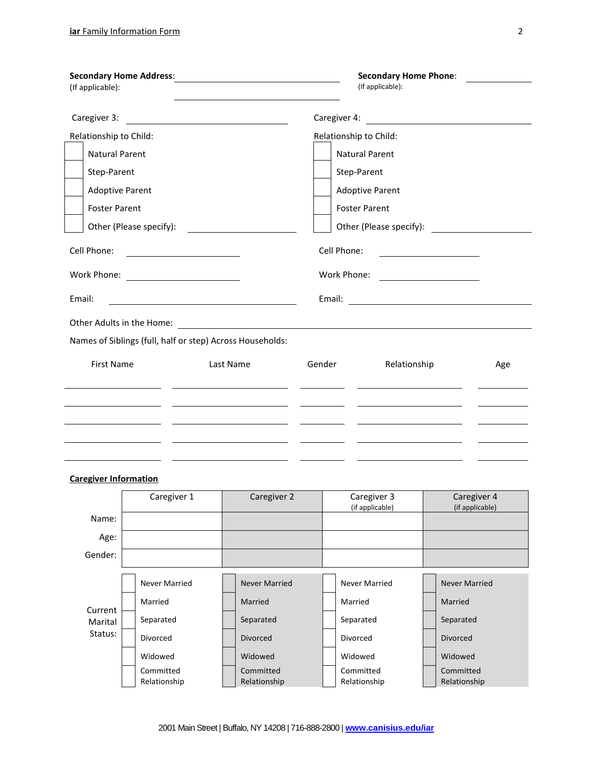|        | (If applicable):             |                                                           |                                                                                                                       |                      | <b>Secondary Home Phone:</b><br>(If applicable):                                          |                                                                                                                      |  |  |  |  |
|--------|------------------------------|-----------------------------------------------------------|-----------------------------------------------------------------------------------------------------------------------|----------------------|-------------------------------------------------------------------------------------------|----------------------------------------------------------------------------------------------------------------------|--|--|--|--|
|        | Caregiver 3:                 | <u> 1989 - Andrea Station Barbara, amerikan per</u>       |                                                                                                                       |                      |                                                                                           | Caregiver 4: <u>__________________________________</u>                                                               |  |  |  |  |
|        | Relationship to Child:       |                                                           |                                                                                                                       |                      | Relationship to Child:                                                                    |                                                                                                                      |  |  |  |  |
|        | <b>Natural Parent</b>        |                                                           |                                                                                                                       |                      | <b>Natural Parent</b>                                                                     |                                                                                                                      |  |  |  |  |
|        | Step-Parent                  |                                                           |                                                                                                                       |                      | Step-Parent                                                                               |                                                                                                                      |  |  |  |  |
|        | <b>Adoptive Parent</b>       |                                                           |                                                                                                                       |                      | <b>Adoptive Parent</b>                                                                    |                                                                                                                      |  |  |  |  |
|        | <b>Foster Parent</b>         |                                                           |                                                                                                                       | <b>Foster Parent</b> |                                                                                           |                                                                                                                      |  |  |  |  |
|        |                              | Other (Please specify):                                   | <u> 1989 - Jan Stein Stein Stein Stein Stein Stein Stein Stein Stein Stein Stein Stein Stein Stein Stein Stein S</u>  |                      |                                                                                           |                                                                                                                      |  |  |  |  |
|        | Cell Phone:                  | <u> 1989 - Andrea Station Barbara, amerikan per</u>       |                                                                                                                       |                      | Cell Phone:                                                                               | <u> 1980 - Jan Barbara Barbara, prima popular popular popular popular popular popular popular popular popular po</u> |  |  |  |  |
|        |                              | Work Phone: <u>____________________</u>                   |                                                                                                                       |                      |                                                                                           |                                                                                                                      |  |  |  |  |
| Email: |                              |                                                           |                                                                                                                       |                      |                                                                                           |                                                                                                                      |  |  |  |  |
|        |                              |                                                           |                                                                                                                       |                      |                                                                                           |                                                                                                                      |  |  |  |  |
|        |                              | Names of Siblings (full, half or step) Across Households: |                                                                                                                       |                      |                                                                                           |                                                                                                                      |  |  |  |  |
|        | <b>First Name</b>            |                                                           | Last Name                                                                                                             | Gender               | Relationship                                                                              | Age                                                                                                                  |  |  |  |  |
|        |                              | <u> 1989 - Andrea State Barbara, politik e</u> n 1980     | <u> Louis Communication de la communication de la communication de la communication de la communication de la com</u> |                      | the control of the control of the control of the control of the control of the control of |                                                                                                                      |  |  |  |  |
|        |                              |                                                           |                                                                                                                       |                      |                                                                                           |                                                                                                                      |  |  |  |  |
|        |                              |                                                           | <u> 1980 - John Stein, mars and de Brazilian (b. 1980)</u>                                                            |                      |                                                                                           |                                                                                                                      |  |  |  |  |
|        |                              |                                                           |                                                                                                                       |                      |                                                                                           |                                                                                                                      |  |  |  |  |
|        | <b>Caregiver Information</b> |                                                           |                                                                                                                       |                      |                                                                                           |                                                                                                                      |  |  |  |  |
|        |                              | Caregiver 1                                               | Caregiver 2                                                                                                           |                      | Caregiver 3<br>(if annlicable)                                                            | Caregiver 4<br>$(if$ annlicahle)                                                                                     |  |  |  |  |

|                    | $\frac{1}{2}$        | $\frac{1}{2}$        | 24.251<br>(if applicable) | $\frac{1}{2}$<br>(if applicable) |
|--------------------|----------------------|----------------------|---------------------------|----------------------------------|
| Name:              |                      |                      |                           |                                  |
| Age:               |                      |                      |                           |                                  |
| Gender:            |                      |                      |                           |                                  |
|                    |                      |                      |                           |                                  |
|                    | <b>Never Married</b> | <b>Never Married</b> | <b>Never Married</b>      | <b>Never Married</b>             |
| Current            | Married              | Married              | Married                   | Married                          |
| Marital<br>Status: | Separated            | Separated            | Separated                 | Separated                        |
|                    | <b>Divorced</b>      | <b>Divorced</b>      | Divorced                  | <b>Divorced</b>                  |
|                    | Widowed              | Widowed              | Widowed                   | Widowed                          |
|                    | Committed            | Committed            | Committed                 | Committed                        |
|                    | Relationship         | Relationship         | Relationship              | Relationship                     |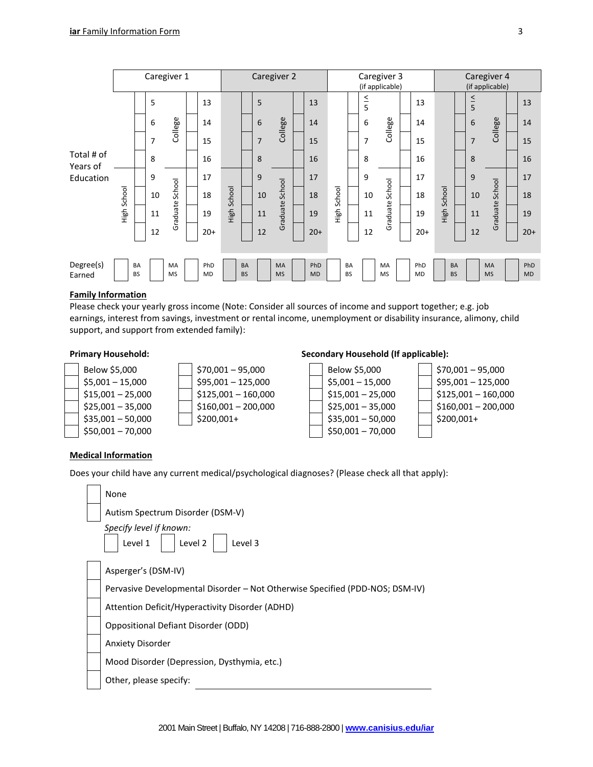|                        |  |                        |    | Caregiver 1     |           |    |                        |         | Caregiver 2            |                  |                |                        |               | Caregiver 3<br>(if applicable) |           |                        | Caregiver 4<br>(if applicable) |                        |                  |                |        |         |    |          |    |
|------------------------|--|------------------------|----|-----------------|-----------|----|------------------------|---------|------------------------|------------------|----------------|------------------------|---------------|--------------------------------|-----------|------------------------|--------------------------------|------------------------|------------------|----------------|--------|---------|----|----------|----|
|                        |  |                        | 5  |                 | 13        |    |                        | 5       |                        | 13               |                |                        | $\frac{5}{5}$ |                                | 13        |                        | $\frac{4}{5}$                  |                        | 13               |                |        |         |    |          |    |
|                        |  |                        |    |                 |           |    | 6                      | College | 14                     |                  |                | 6                      | College       | 14                             |           |                        | 6                              | College                | 14               |                | 6      | College | 14 |          |    |
|                        |  |                        |    |                 |           | 7  |                        | 15      |                        |                  | $\overline{7}$ |                        | 15            |                                |           | 7                      |                                | 15                     |                  | $\overline{7}$ |        | 15      |    |          |    |
| Total # of<br>Years of |  |                        | 8  |                 | 16        |    |                        | 8       |                        | 16               |                |                        | 8             |                                | 16        |                        | 8                              |                        | 16               |                |        |         |    |          |    |
| Education              |  | High School            |    | 9               |           | 17 |                        |         | 9                      |                  | 17             |                        |               | 9                              |           | 17                     |                                | 9                      |                  | 17             |        |         |    |          |    |
|                        |  |                        |    |                 |           | 10 | School                 | 18      | School                 |                  | 10             | School                 | 18            | School                         |           | 10                     | School                         | 18                     | High School      | 10             | School | 18      |    |          |    |
|                        |  |                        |    |                 |           |    |                        |         |                        |                  |                |                        | 11            | Graduate                       | 19        | High                   |                                | 11                     | Graduate         | 19             | High   |         | 11 | Graduate | 19 |
|                        |  |                        | 12 |                 | $20+$     |    |                        | 12      |                        | $20+$            |                |                        | 12            |                                | $20+$     |                        | 12                             |                        | $20+$            |                |        |         |    |          |    |
| Degree(s)<br>Earned    |  | <b>BA</b><br><b>BS</b> |    | MA<br><b>MS</b> | PhD<br>MD |    | <b>BA</b><br><b>BS</b> |         | <b>MA</b><br><b>MS</b> | PhD<br><b>MD</b> |                | <b>BA</b><br><b>BS</b> |               | MA<br><b>MS</b>                | PhD<br>MD | <b>BA</b><br><b>BS</b> |                                | <b>MA</b><br><b>MS</b> | PhD<br><b>MD</b> |                |        |         |    |          |    |

## **Family Information**

Please check your yearly gross income (Note: Consider all sources of income and support together; e.g. job earnings, interest from savings, investment or rental income, unemployment or disability insurance, alimony, child support, and support from extended family):

| Below \$5,000      |
|--------------------|
| $$5,001 - 15,000$  |
| $$15,001 - 25,000$ |
| $$25,001 - 35,000$ |
| $$35,001 - 50,000$ |
| $$50,001 - 70,000$ |

| $$70,001 - 95,000$   |
|----------------------|
| $$95,001 - 125,000$  |
| $$125,001 - 160,000$ |
| $$160,001 - 200,000$ |
| \$200,001+           |
|                      |

# **Primary Household: Secondary Household (If applicable):**



## **Medical Information**

Does your child have any current medical/psychological diagnoses? (Please check all that apply):

| None                                                                         |
|------------------------------------------------------------------------------|
| Autism Spectrum Disorder (DSM-V)                                             |
| Specify level if known:<br>Level 1<br>Level 2<br>Level 3                     |
| Asperger's (DSM-IV)                                                          |
| Pervasive Developmental Disorder - Not Otherwise Specified (PDD-NOS; DSM-IV) |
| Attention Deficit/Hyperactivity Disorder (ADHD)                              |
| Oppositional Defiant Disorder (ODD)                                          |
| <b>Anxiety Disorder</b>                                                      |
| Mood Disorder (Depression, Dysthymia, etc.)                                  |
| Other, please specify:                                                       |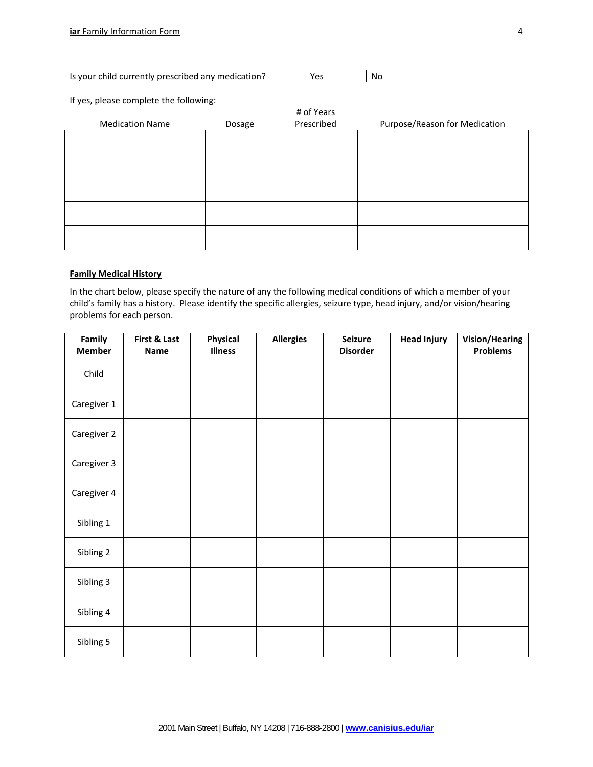| I<br>٠ |  |
|--------|--|
|        |  |
|        |  |

| Is your child currently prescribed any medication? |  | Yes |  | $\overline{\phantom{a}}$ No |
|----------------------------------------------------|--|-----|--|-----------------------------|
|----------------------------------------------------|--|-----|--|-----------------------------|

If yes, please complete the following:

|                        |        | # of Years |                               |
|------------------------|--------|------------|-------------------------------|
| <b>Medication Name</b> | Dosage | Prescribed | Purpose/Reason for Medication |
|                        |        |            |                               |
|                        |        |            |                               |
|                        |        |            |                               |
|                        |        |            |                               |
|                        |        |            |                               |
|                        |        |            |                               |
|                        |        |            |                               |
|                        |        |            |                               |
|                        |        |            |                               |
|                        |        |            |                               |

### **Family Medical History**

In the chart below, please specify the nature of any the following medical conditions of which a member of your child's family has a history. Please identify the specific allergies, seizure type, head injury, and/or vision/hearing problems for each person.

| Family<br><b>Member</b> | First & Last<br>Name | Physical<br><b>Illness</b> | <b>Allergies</b> | <b>Seizure</b><br><b>Disorder</b> | <b>Head Injury</b> | <b>Vision/Hearing</b><br><b>Problems</b> |
|-------------------------|----------------------|----------------------------|------------------|-----------------------------------|--------------------|------------------------------------------|
| Child                   |                      |                            |                  |                                   |                    |                                          |
| Caregiver 1             |                      |                            |                  |                                   |                    |                                          |
| Caregiver 2             |                      |                            |                  |                                   |                    |                                          |
| Caregiver 3             |                      |                            |                  |                                   |                    |                                          |
| Caregiver 4             |                      |                            |                  |                                   |                    |                                          |
| Sibling 1               |                      |                            |                  |                                   |                    |                                          |
| Sibling 2               |                      |                            |                  |                                   |                    |                                          |
| Sibling 3               |                      |                            |                  |                                   |                    |                                          |
| Sibling 4               |                      |                            |                  |                                   |                    |                                          |
| Sibling 5               |                      |                            |                  |                                   |                    |                                          |